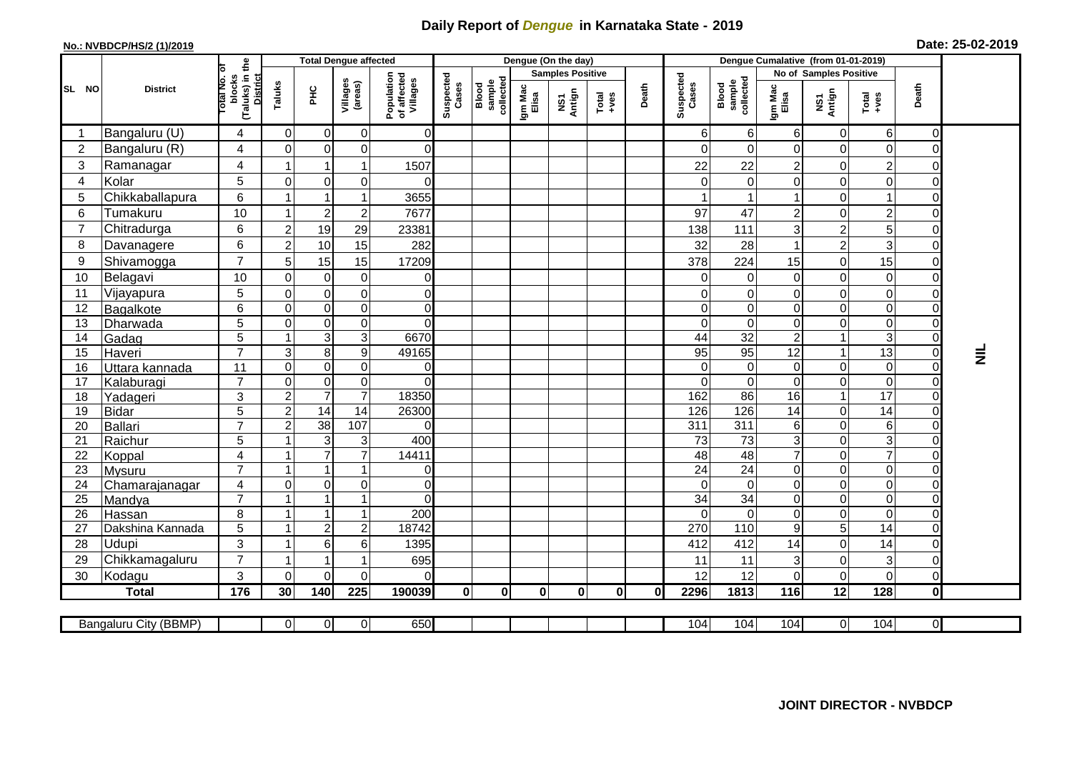## **Daily Report of** *Dengue* **in Karnataka State - 2019**

## **No.: NVBDCP/HS/2 (1)/2019 Date: 25-02-2019**

|                |                            |                                                             | <b>Total Dengue affected</b> |                                  |                                  |                                       |                    |                                     |                  | Dengue (On the day)     |                                                              |              |                             |                              |                            |                  |                                    |                                  |                 |
|----------------|----------------------------|-------------------------------------------------------------|------------------------------|----------------------------------|----------------------------------|---------------------------------------|--------------------|-------------------------------------|------------------|-------------------------|--------------------------------------------------------------|--------------|-----------------------------|------------------------------|----------------------------|------------------|------------------------------------|----------------------------------|-----------------|
|                |                            |                                                             |                              |                                  |                                  |                                       |                    |                                     |                  | <b>Samples Positive</b> |                                                              |              |                             |                              | No of Samples Positive     |                  |                                    |                                  |                 |
| SL NO          | <b>District</b>            | (Taluks) in the<br>otal No. or<br>blocks<br><b>District</b> | Taluks                       | <b>PHC</b>                       | Villages<br>(areas)              | Population<br>of affected<br>Villages | Suspected<br>Cases | sample<br>collected<br><b>Blood</b> | Igm Mac<br>Elisa | NS1<br>Antign           | $\begin{array}{c}\n\text{Total} \\ \text{Area}\n\end{array}$ | Death        | Suspected<br>Cases          | Blood<br>sample<br>collected | Igm Mac<br>Elisa           | NS1<br>Antign    | Total<br>+ves                      | Death                            |                 |
|                | Bangaluru (U)              | 4                                                           | $\mathbf{0}$                 | $\Omega$                         | 0                                | 0                                     |                    |                                     |                  |                         |                                                              |              | 6                           | 6                            | 6                          | 0                | 6                                  | $\overline{0}$                   |                 |
| $\overline{2}$ | Bangaluru (R)              | 4                                                           | $\Omega$                     | $\Omega$                         | $\Omega$                         | $\mathbf 0$                           |                    |                                     |                  |                         |                                                              |              | $\Omega$                    | $\Omega$                     | $\mathbf 0$                | $\Omega$         | $\Omega$                           | $\Omega$                         |                 |
| 3              | Ramanagar                  | 4                                                           |                              | 1                                | 1                                | 1507                                  |                    |                                     |                  |                         |                                                              |              | 22                          | 22                           | $\overline{c}$             | $\mathbf 0$      | $\overline{c}$                     | $\Omega$                         |                 |
| $\overline{4}$ | Kolar                      | 5                                                           | $\Omega$                     | $\overline{0}$                   | $\mathbf 0$                      | $\Omega$                              |                    |                                     |                  |                         |                                                              |              | $\Omega$                    | 0                            | $\overline{0}$             | $\mathbf 0$      | 0                                  | $\overline{0}$                   |                 |
| 5              | Chikkaballapura            | 6                                                           |                              |                                  | 1                                | 3655                                  |                    |                                     |                  |                         |                                                              |              |                             |                              | $\mathbf{1}$               | $\mathbf 0$      |                                    | $\Omega$                         |                 |
| $\,6$          | Tumakuru                   | 10                                                          |                              | $\mathbf{2}$                     | $\overline{c}$                   | 7677                                  |                    |                                     |                  |                         |                                                              |              | 97                          | 47                           | $\overline{c}$             | $\mathbf 0$      | $\overline{c}$                     | $\overline{0}$                   |                 |
| $\overline{7}$ | Chitradurga                | 6                                                           | $\overline{2}$               | 19                               | 29                               | 23381                                 |                    |                                     |                  |                         |                                                              |              | 138                         | 111                          | 3                          | $\overline{2}$   | 5                                  | $\Omega$                         |                 |
| 8              | Davanagere                 | 6                                                           | $\overline{2}$               | 10                               | 15                               | 282                                   |                    |                                     |                  |                         |                                                              |              | 32                          | 28                           | $\mathbf{1}$               | $\overline{2}$   | 3                                  | $\overline{O}$                   |                 |
| 9              | Shivamogga                 | $\overline{7}$                                              | 5 <sub>1</sub>               | 15                               | 15                               | 17209                                 |                    |                                     |                  |                         |                                                              |              | 378                         | 224                          | 15                         | $\mathbf 0$      | 15                                 | $\Omega$                         |                 |
| 10             | Belagavi                   | 10                                                          | 0                            | $\overline{0}$                   | $\pmb{0}$                        | $\mathsf 0$                           |                    |                                     |                  |                         |                                                              |              | 0                           | $\pmb{0}$                    | $\mathsf 0$                | 0                | $\mathbf 0$                        | $\mathbf 0$                      |                 |
| 11             | Vijayapura                 | 5                                                           | $\Omega$                     | $\overline{0}$                   | $\mathbf 0$                      | $\mathbf 0$                           |                    |                                     |                  |                         |                                                              |              | $\Omega$                    | 0                            | $\mathsf 0$                | $\mathbf 0$      | $\mathbf 0$                        | $\Omega$                         |                 |
| 12             | Bagalkote                  | 6                                                           | 0                            | $\overline{0}$                   | $\pmb{0}$                        | $\mathsf{O}\xspace$                   |                    |                                     |                  |                         |                                                              |              | 0                           | 0                            | $\mathsf 0$                | 0                | $\boldsymbol{0}$                   | $\overline{O}$                   |                 |
| 13             | Dharwada                   | 5                                                           | $\Omega$                     | $\Omega$                         | $\Omega$                         | 0                                     |                    |                                     |                  |                         |                                                              |              | $\Omega$                    | 0                            | $\mathbf 0$                | $\mathbf 0$      | $\mathbf 0$                        | $\Omega$                         |                 |
| 14             | Gadag                      | $\overline{5}$                                              |                              | $\overline{3}$                   | 3                                | 6670                                  |                    |                                     |                  |                         |                                                              |              | 44                          | 32                           | $\overline{2}$             |                  | $\overline{3}$                     | $\mathbf 0$                      |                 |
| 15             | Haveri                     | $\overline{7}$                                              | 3                            | 8 <sup>1</sup>                   | 9                                | 49165                                 |                    |                                     |                  |                         |                                                              |              | 95                          | 95                           | $\overline{12}$            | $\overline{1}$   | 13                                 | $\overline{0}$                   | $\bar{\bar{z}}$ |
| 16             | Uttara kannada             | 11                                                          | $\Omega$                     | $\overline{0}$                   | $\Omega$                         | 0                                     |                    |                                     |                  |                         |                                                              |              | $\Omega$                    | $\mathbf 0$                  | $\overline{0}$             | $\mathbf 0$      | $\mathbf 0$                        | $\overline{0}$                   |                 |
| 17             | Kalaburagi                 | $\overline{7}$                                              | $\Omega$                     | $\Omega$                         | $\Omega$                         | $\Omega$                              |                    |                                     |                  |                         |                                                              |              | $\Omega$                    | $\Omega$                     | $\overline{0}$             | $\mathbf 0$      | $\Omega$                           | $\Omega$                         |                 |
| 18             | Yadageri                   | 3                                                           | $\overline{2}$               | $\overline{7}$                   | $\overline{7}$                   | 18350                                 |                    |                                     |                  |                         |                                                              |              | 162                         | 86                           | 16                         | $\overline{1}$   | 17                                 | $\overline{O}$                   |                 |
| 19             | Bidar                      | 5                                                           | $\overline{c}$               | 14                               | 14                               | 26300                                 |                    |                                     |                  |                         |                                                              |              | 126                         | 126                          | 14                         | $\mathbf 0$      | 14                                 | $\overline{0}$                   |                 |
| 20             | Ballari                    | $\overline{7}$                                              | $\overline{2}$               | $\overline{38}$                  | 107                              | $\Omega$                              |                    |                                     |                  |                         |                                                              |              | $\overline{311}$            | $\overline{311}$             | 6                          | $\Omega$         | $\,6\,$                            | $\mathbf 0$                      |                 |
| 21             | Raichur                    | 5                                                           |                              | $\mathbf{3}$                     | 3                                | 400                                   |                    |                                     |                  |                         |                                                              |              | 73                          | $\overline{73}$              | $\overline{3}$             | $\mathbf 0$      | $\overline{3}$                     | $\overline{0}$                   |                 |
| 22             | Koppal                     | 4                                                           |                              | $\overline{7}$                   | $\overline{7}$                   | 14411                                 |                    |                                     |                  |                         |                                                              |              | 48                          | 48                           | $\overline{7}$             | $\mathbf 0$      | $\overline{7}$                     | $\overline{0}$                   |                 |
| 23             | <b>Mysuru</b>              | $\overline{7}$                                              |                              | $\mathbf{1}$                     | $\overline{1}$                   | 0                                     |                    |                                     |                  |                         |                                                              |              | 24                          | 24                           | $\overline{0}$             | 0                | $\pmb{0}$                          | $\overline{0}$                   |                 |
| 24             | Chamarajanagar             | 4<br>$\overline{7}$                                         | $\Omega$                     | $\overline{0}$<br>$\overline{1}$ | $\mathbf 0$                      | $\mathbf 0$                           |                    |                                     |                  |                         |                                                              |              | $\Omega$                    | $\mathbf 0$                  | $\overline{0}$             | $\mathbf 0$      | $\boldsymbol{0}$                   | $\overline{0}$                   |                 |
| 25             | Mandya                     |                                                             |                              | $\mathbf{1}$                     | $\overline{1}$<br>$\overline{1}$ | $\overline{0}$<br>200                 |                    |                                     |                  |                         |                                                              |              | $\overline{34}$<br>$\Omega$ | 34                           | $\mathsf 0$<br>$\mathbf 0$ | $\pmb{0}$        | $\boldsymbol{0}$<br>$\overline{0}$ | $\overline{0}$<br>$\overline{0}$ |                 |
| 26<br>27       | Hassan<br>Dakshina Kannada | 8<br>5                                                      | -1                           | $\overline{2}$                   | $\overline{c}$                   | 18742                                 |                    |                                     |                  |                         |                                                              |              | 270                         | 0<br>110                     | g                          | $\mathbf 0$<br>5 | $\overline{14}$                    | $\overline{0}$                   |                 |
| 28             | <b>Udupi</b>               | $\mathfrak{S}$                                              | -1                           | $6 \mid$                         | 6                                |                                       |                    |                                     |                  |                         |                                                              |              | 412                         | 412                          | 14                         | $\mathbf 0$      | 14                                 | $\overline{0}$                   |                 |
| 29             | Chikkamagaluru             | $\overline{7}$                                              | -1                           | $\overline{1}$                   | 1                                | 1395<br>695                           |                    |                                     |                  |                         |                                                              |              | 11                          | 11                           | 3                          | $\mathbf 0$      | 3                                  | $\Omega$                         |                 |
| 30             | Kodagu                     | 3                                                           | $\Omega$                     | $\Omega$                         | $\Omega$                         | $\Omega$                              |                    |                                     |                  |                         |                                                              |              | 12                          | 12                           | 0                          | $\mathbf 0$      | $\Omega$                           | $\overline{O}$                   |                 |
|                | <b>Total</b>               | 176                                                         | 30                           | 140                              | 225                              | 190039                                | $\mathbf{0}$       | $\bf{0}$                            | $\mathbf{0}$     | $\mathbf{0}$            | $\mathbf{0}$                                                 | $\mathbf{0}$ | 2296                        | 1813                         | 116                        | 12               | 128                                | $\mathbf{0}$                     |                 |
|                |                            |                                                             |                              |                                  |                                  |                                       |                    |                                     |                  |                         |                                                              |              |                             |                              |                            |                  |                                    |                                  |                 |
|                | Bangaluru City (BBMP)      |                                                             | $\overline{0}$               | $\overline{0}$                   | $\overline{0}$                   | 650                                   |                    |                                     |                  |                         |                                                              |              | 104                         | 104                          | 104                        | $\overline{0}$   | 104                                | $\overline{\Omega}$              |                 |